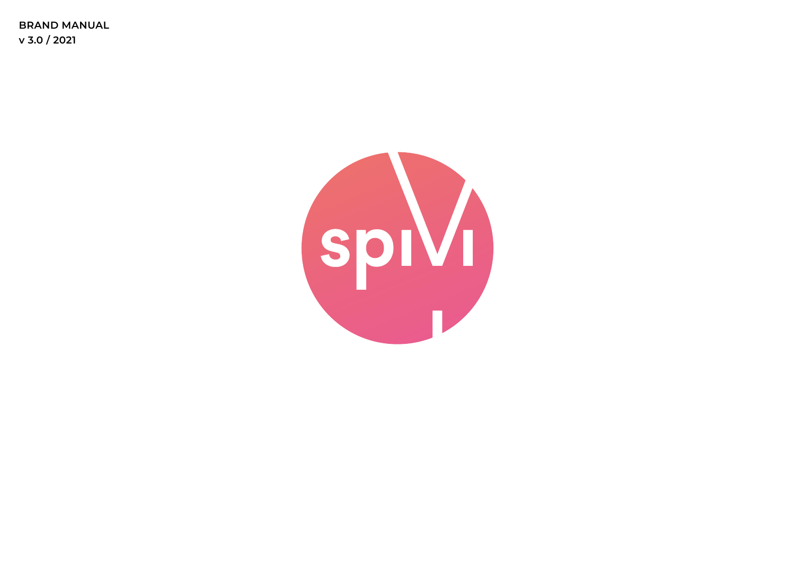**BRAND MANUAL v 3.0 / 2021**

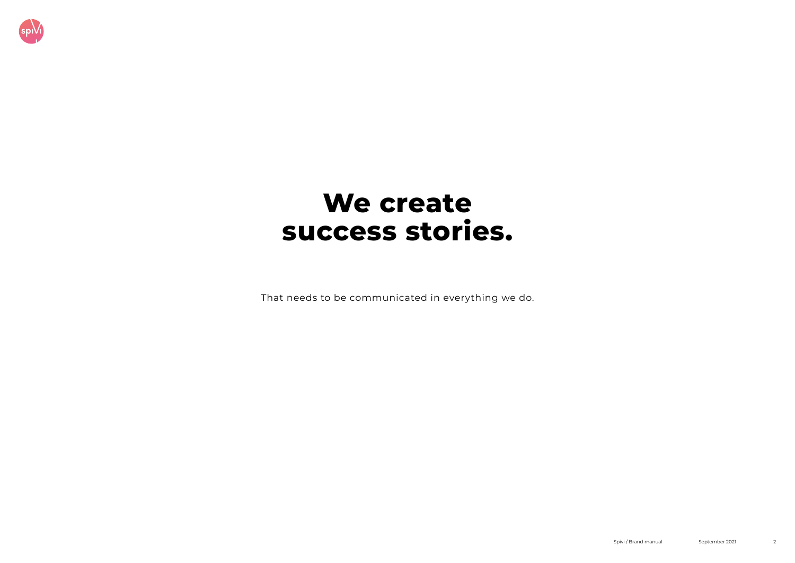

# **We create success stories.**

That needs to be communicated in everything we do.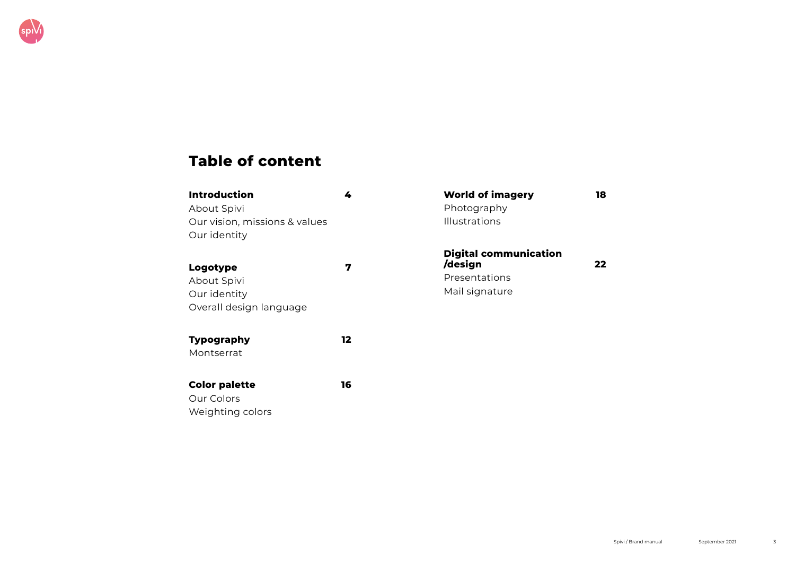

## **Table of content**

| <b>Introduction</b><br>About Spivi<br>Our vision, missions & values<br>Our identity | 4  | <b>World of imagery</b><br>Photography<br><b>Illustrations</b>             | 18 |
|-------------------------------------------------------------------------------------|----|----------------------------------------------------------------------------|----|
| Logotype<br>About Spivi<br>Our identity<br>Overall design language                  | 7  | <b>Digital communication</b><br>/design<br>Presentations<br>Mail signature | 22 |
| <b>Typography</b><br>Montserrat                                                     | 12 |                                                                            |    |
| <b>Color palette</b><br>Our Colors                                                  | 16 |                                                                            |    |

Weighting colors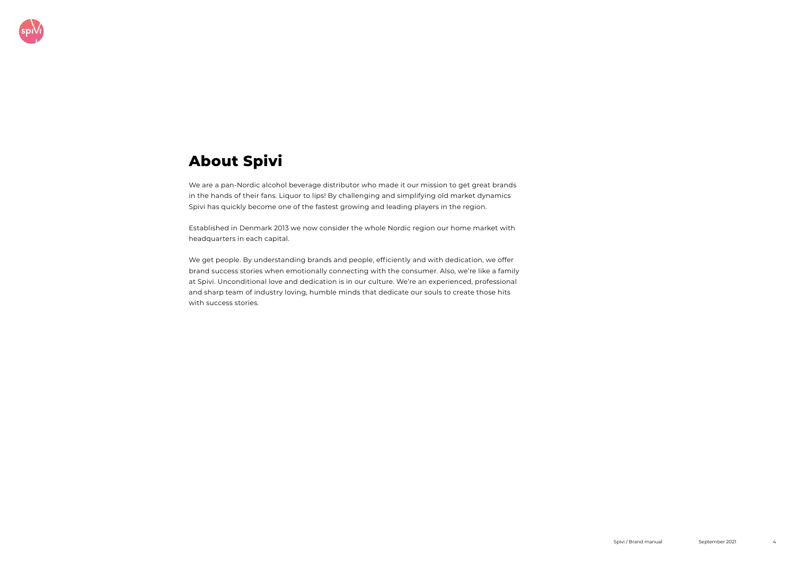

## **About Spivi**

We are a pan-Nordic alcohol beverage distributor who made it our mission to get great brands in the hands of their fans. Liquor to lips! By challenging and simplifying old market dynamics Spivi has quickly become one of the fastest growing and leading players in the region.

Established in Denmark 2013 we now consider the whole Nordic region our home market with headquarters in each capital.

We get people. By understanding brands and people, efficiently and with dedication, we offer brand success stories when emotionally connecting with the consumer. Also, we're like a family at Spivi. Unconditional love and dedication is in our culture. We're an experienced, professional and sharp team of industry loving, humble minds that dedicate our souls to create those hits with success stories.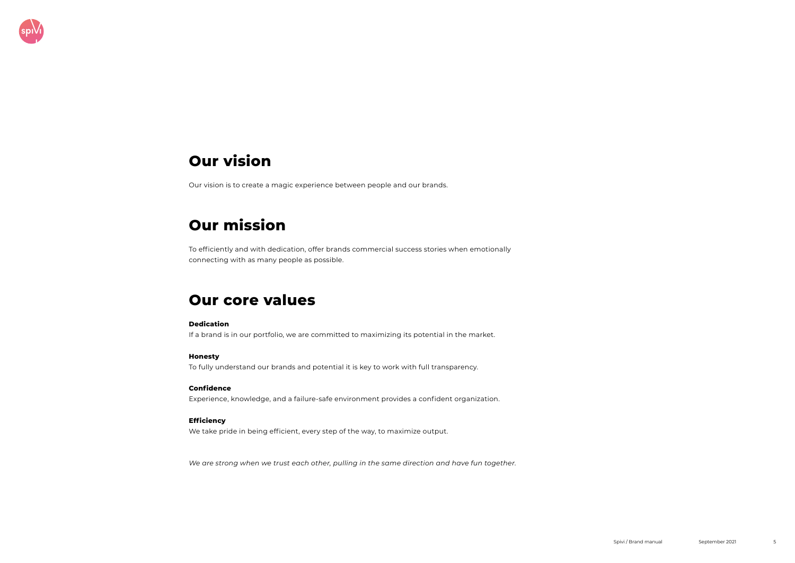

## **Our vision**

Our vision is to create a magic experience between people and our brands.

## **Our mission**

To efficiently and with dedication, offer brands commercial success stories when emotionally connecting with as many people as possible.

## **Our core values**

## **Dedication**

If a brand is in our portfolio, we are committed to maximizing its potential in the market.

## **Honesty**

To fully understand our brands and potential it is key to work with full transparency.

## **Confidence**

Experience, knowledge, and a failure-safe environment provides a confident organization.

## **Efficiency**

We take pride in being efficient, every step of the way, to maximize output.

*We are strong when we trust each other, pulling in the same direction and have fun together.*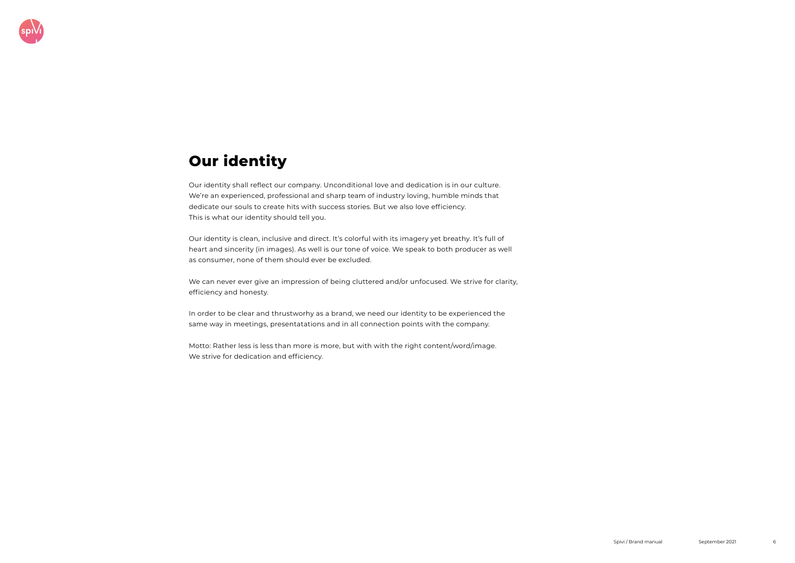

## **Our identity**

Our identity shall reflect our company. Unconditional love and dedication is in our culture. We're an experienced, professional and sharp team of industry loving, humble minds that dedicate our souls to create hits with success stories. But we also love efficiency. This is what our identity should tell you.

Our identity is clean, inclusive and direct. It's colorful with its imagery yet breathy. It's full of heart and sincerity (in images). As well is our tone of voice. We speak to both producer as well as consumer, none of them should ever be excluded.

We can never ever give an impression of being cluttered and/or unfocused. We strive for clarity, efficiency and honesty.

In order to be clear and thrustworhy as a brand, we need our identity to be experienced the same way in meetings, presentatations and in all connection points with the company.

Motto: Rather less is less than more is more, but with with the right content/word/image. We strive for dedication and efficiency.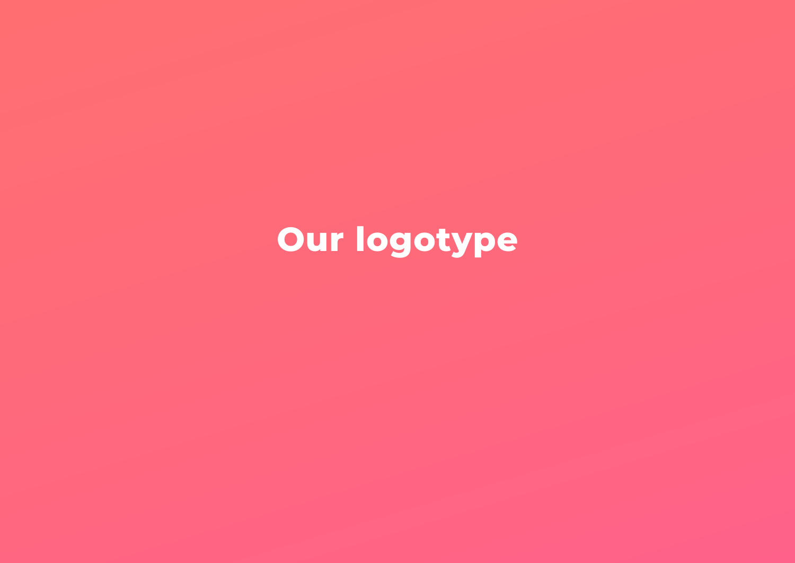# **Our logotype**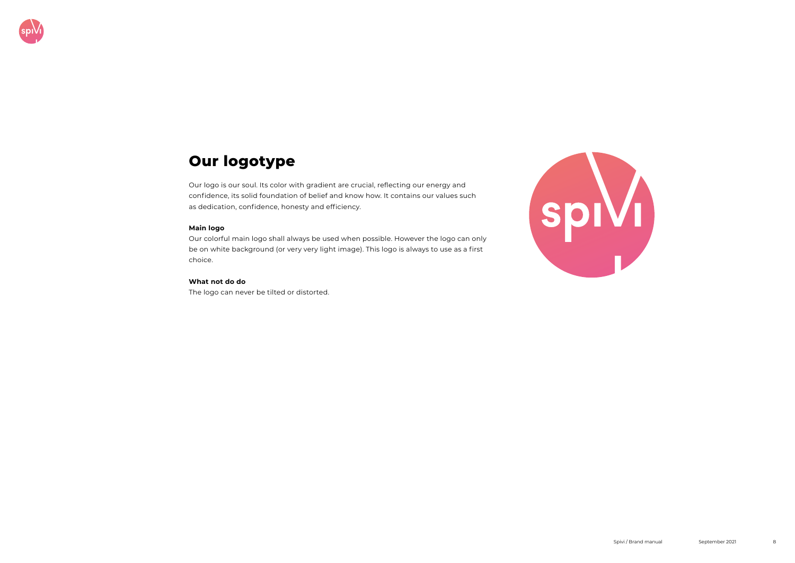

## **Our logotype**

Our logo is our soul. Its color with gradient are crucial, reflecting our energy and confidence, its solid foundation of belief and know how. It contains our values such as dedication, confidence, honesty and efficiency.

#### **Main logo**

Our colorful main logo shall always be used when possible. However the logo can only be on white background (or very very light image). This logo is always to use as a first choice.

#### **What not do do**

The logo can never be tilted or distorted.

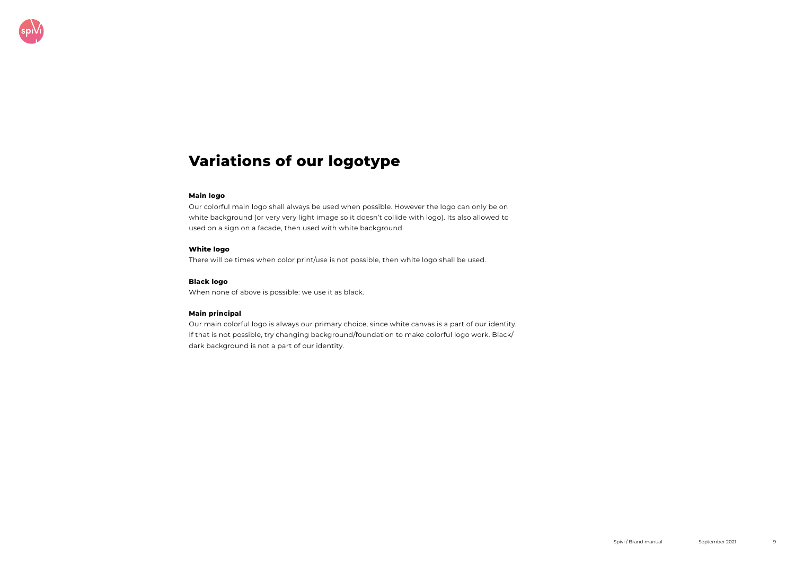

## **Variations of our logotype**

#### **Main logo**

Our colorful main logo shall always be used when possible. However the logo can only be on white background (or very very light image so it doesn't collide with logo). Its also allowed to used on a sign on a facade, then used with white background.

#### **White logo**

There will be times when color print/use is not possible, then white logo shall be used.

#### **Black logo**

When none of above is possible: we use it as black.

### **Main principal**

Our main colorful logo is always our primary choice, since white canvas is a part of our identity. If that is not possible, try changing background/foundation to make colorful logo work. Black/ dark background is not a part of our identity.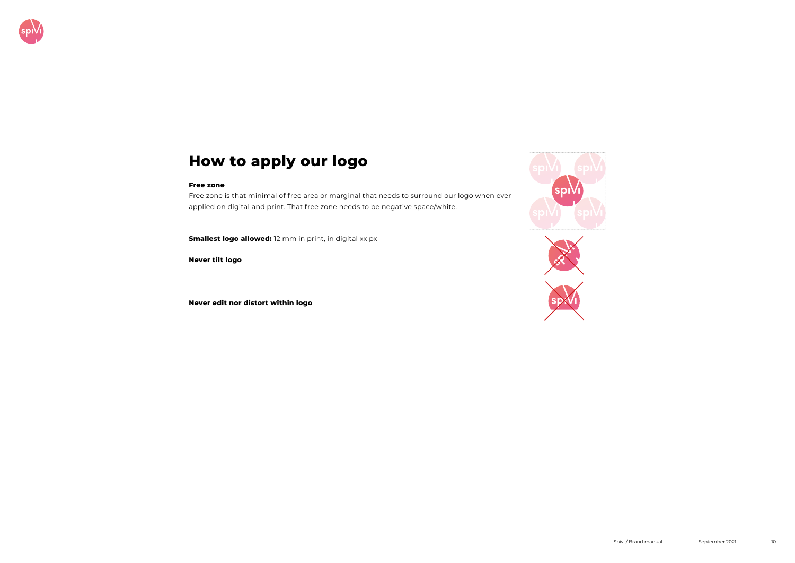

## **How to apply our logo**

#### **Free zone**

Free zone is that minimal of free area or marginal that needs to surround our logo when ever applied on digital and print. That free zone needs to be negative space/white.

**Smallest logo allowed:** 12 mm in print, in digital xx px

**Never tilt logo**

**Never edit nor distort within logo**





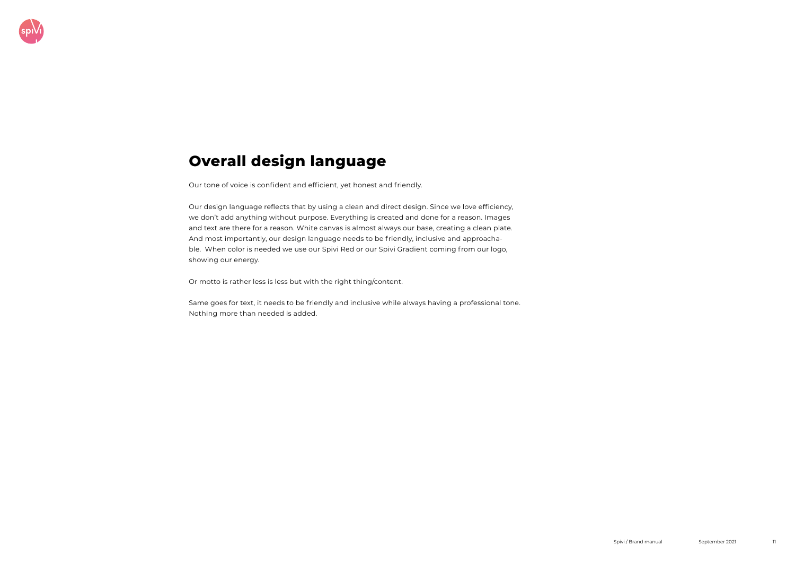

## **Overall design language**

Our tone of voice is confident and efficient, yet honest and friendly.

Our design language reflects that by using a clean and direct design. Since we love efficiency, we don't add anything without purpose. Everything is created and done for a reason. Images and text are there for a reason. White canvas is almost always our base, creating a clean plate. And most importantly, our design language needs to be friendly, inclusive and approachable. When color is needed we use our Spivi Red or our Spivi Gradient coming from our logo, showing our energy.

Or motto is rather less is less but with the right thing/content.

Same goes for text, it needs to be friendly and inclusive while always having a professional tone. Nothing more than needed is added.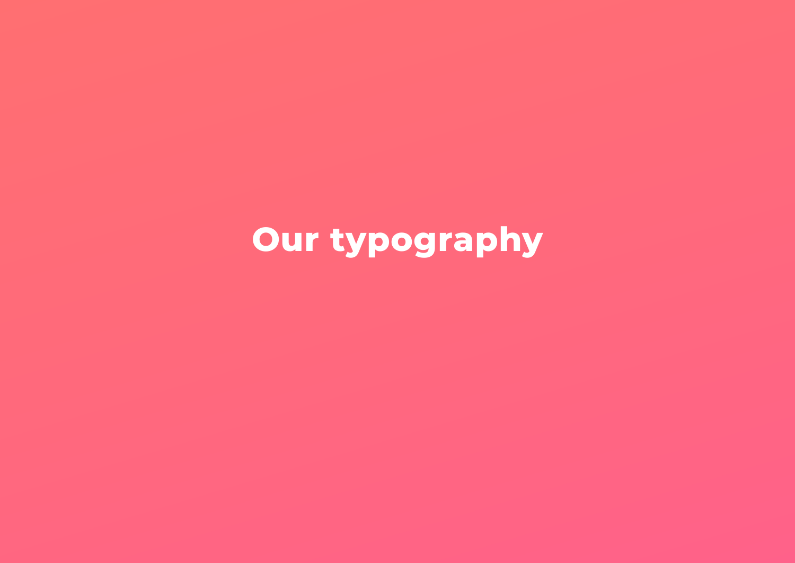# **Our typography**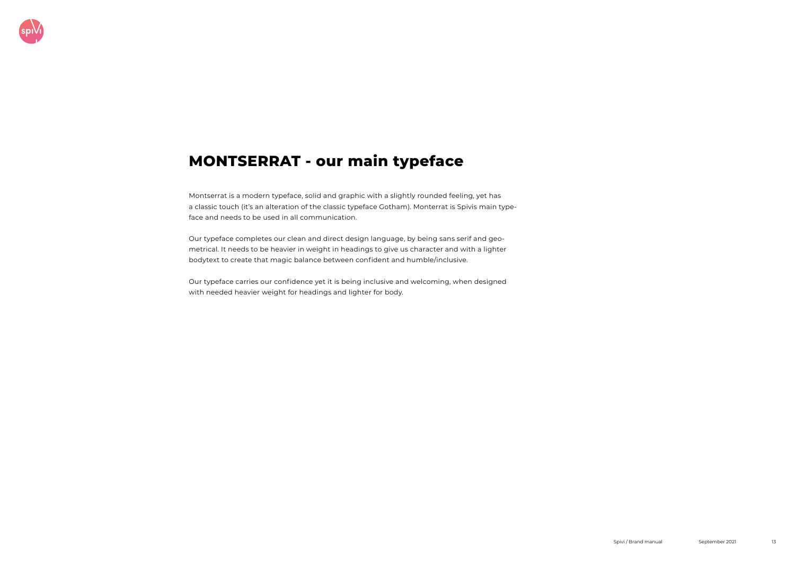

## **MONTSERRAT - our main typeface**

Montserrat is a modern typeface, solid and graphic with a slightly rounded feeling, yet has a classic touch (it's an alteration of the classic typeface Gotham). Monterrat is Spivis main typeface and needs to be used in all communication.

Our typeface completes our clean and direct design language, by being sans serif and geometrical. It needs to be heavier in weight in headings to give us character and with a lighter bodytext to create that magic balance between confident and humble/inclusive.

Our typeface carries our confidence yet it is being inclusive and welcoming, when designed with needed heavier weight for headings and lighter for body.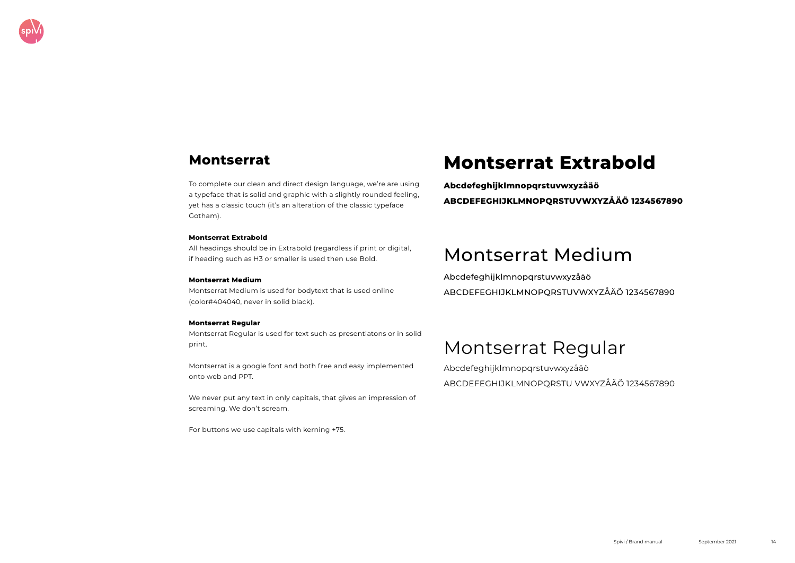## Montserrat Medium

## Montserrat Regular

Abcdefeghijklmnopqrstuvwxyzåäö ABCDEFEGHIJKLMNOPQRSTUVWXYZÅÄÖ 1234567890

Abcdefeghijklmnopqrstuvwxyzåäö ABCDEFEGHIJKLMNOPQRSTU VWXYZÅÄÖ 1234567890

## **Montserrat Extrabold**

**Abcdefeghijklmnopqrstuvwxyzåäö ABCDEFEGHIJKLMNOPQRSTUVWXYZÅÄÖ 1234567890** 



## **Montserrat**

To complete our clean and direct design language, we're are using a typeface that is solid and graphic with a slightly rounded feeling, yet has a classic touch (it's an alteration of the classic typeface Gotham).

#### **Montserrat Extrabold**

All headings should be in Extrabold (regardless if print or digital, if heading such as H3 or smaller is used then use Bold.

#### **Montserrat Medium**

Montserrat Medium is used for bodytext that is used online (color#404040, never in solid black).

#### **Montserrat Regular**

Montserrat Regular is used for text such as presentiatons or in solid print.

Montserrat is a google font and both free and easy implemented onto web and PPT.

We never put any text in only capitals, that gives an impression of screaming. We don't scream.

For buttons we use capitals with kerning +75.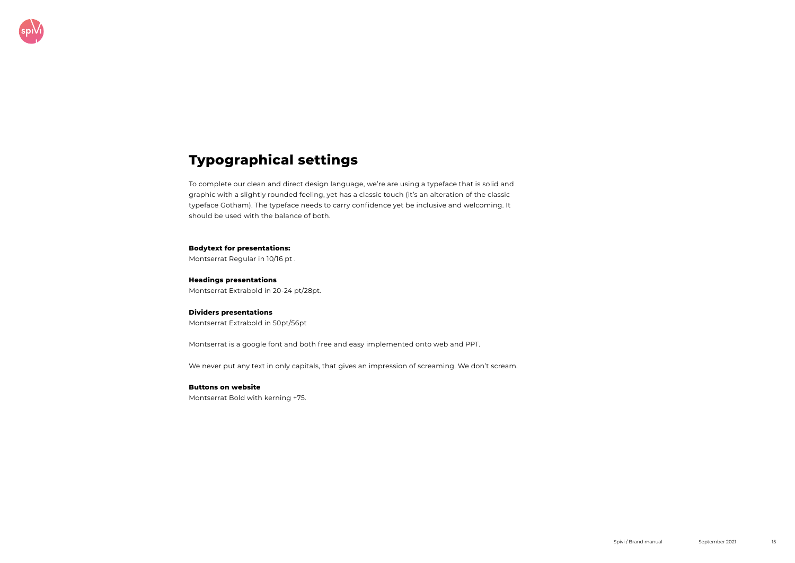

## **Typographical settings**

To complete our clean and direct design language, we're are using a typeface that is solid and graphic with a slightly rounded feeling, yet has a classic touch (it's an alteration of the classic typeface Gotham). The typeface needs to carry confidence yet be inclusive and welcoming. It should be used with the balance of both.

### **Bodytext for presentations:**

Montserrat Regular in 10/16 pt .

**Headings presentations** Montserrat Extrabold in 20-24 pt/28pt.

## **Dividers presentations**

Montserrat Extrabold in 50pt/56pt

Montserrat is a google font and both free and easy implemented onto web and PPT.

We never put any text in only capitals, that gives an impression of screaming. We don't scream.

#### **Buttons on website**

Montserrat Bold with kerning +75.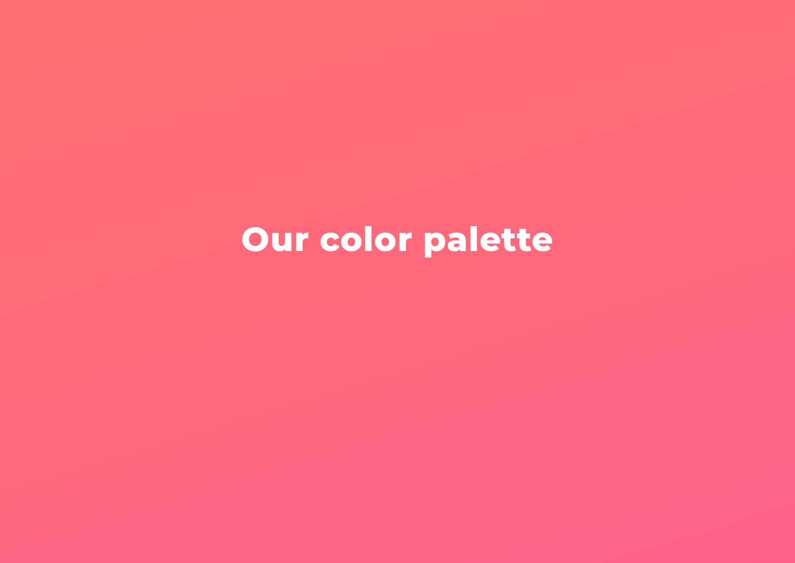# **Our color palette**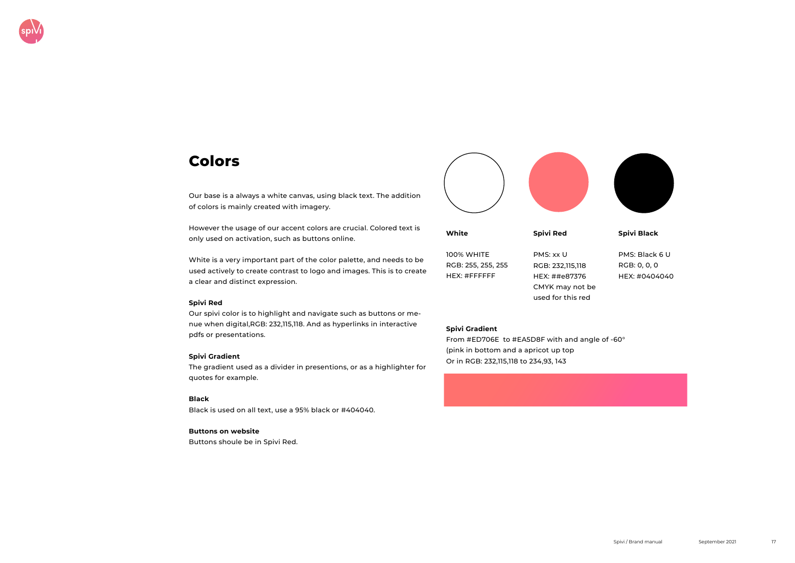



## **Colors**

Our base is a always a white canvas, using black text. The addition of colors is mainly created with imagery.

However the usage of our accent colors are crucial. Colored text is only used on activation, such as buttons online.

White is a very important part of the color palette, and needs to be used actively to create contrast to logo and images. This is to create a clear and distinct expression.

### **Spivi Red**

Our spivi color is to highlight and navigate such as buttons or menue when digital,RGB: 232,115,118. And as hyperlinks in interactive pdfs or presentations.

#### **Spivi Gradient**

The gradient used as a divider in presentions, or as a highlighter for quotes for example.

### **Black**

Black is used on all text, use a 95% black or #404040.

## **Buttons on website**

Buttons shoule be in Spivi Red.

## **Spivi Black**

PMS: Black 6 U RGB: 0, 0, 0 HEX: #0404040



| 100% WHITE         | PMS: xx U         |
|--------------------|-------------------|
| RGB: 255, 255, 255 | RGB: 232,115,118  |
| HFX: #FFFFFF       | HEX: ##e87376     |
|                    | CMYK may not be   |
|                    | used for this red |

#### **Spivi Gradient**

From #ED706E to #EA5D8F with and angle of -60° (pink in bottom and a apricot up top Or in RGB: 232,115,118 to 234,93, 143

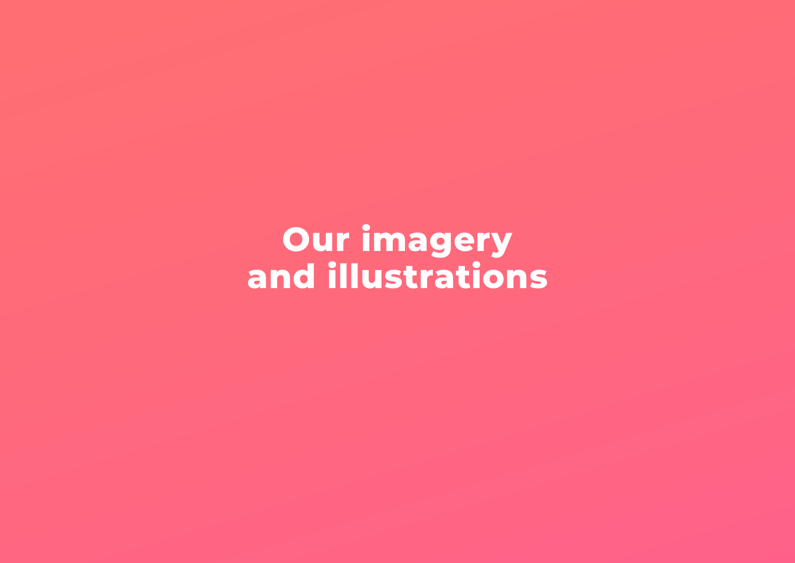**Our imagery and illustrations**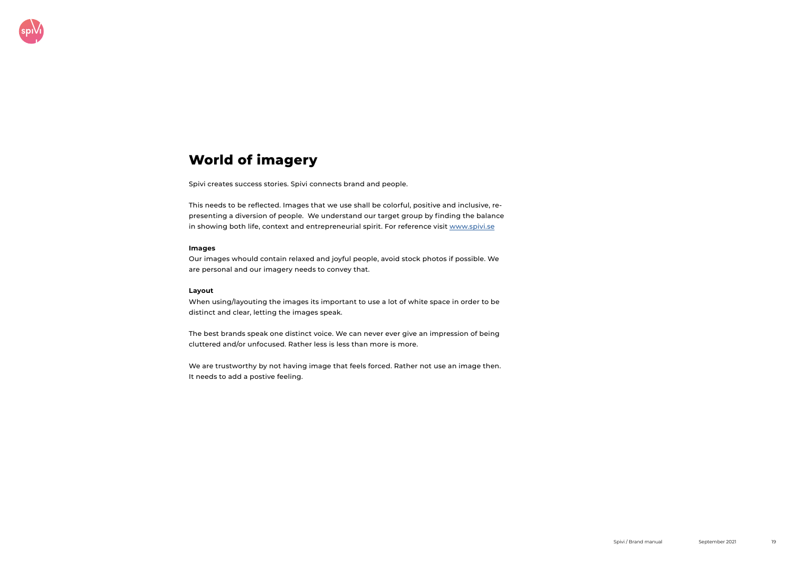

## **World of imagery**

This needs to be reflected. Images that we use shall be colorful, positive and inclusive, representing a diversion of people. We understand our target group by finding the balance in showing both life, context and entrepreneurial spirit. For reference visit www.spivi.se

Spivi creates success stories. Spivi connects brand and people.

#### **Images**

Our images whould contain relaxed and joyful people, avoid stock photos if possible. We are personal and our imagery needs to convey that.

#### **Layout**

When using/layouting the images its important to use a lot of white space in order to be distinct and clear, letting the images speak.

The best brands speak one distinct voice. We can never ever give an impression of being cluttered and/or unfocused. Rather less is less than more is more.

We are trustworthy by not having image that feels forced. Rather not use an image then. It needs to add a postive feeling.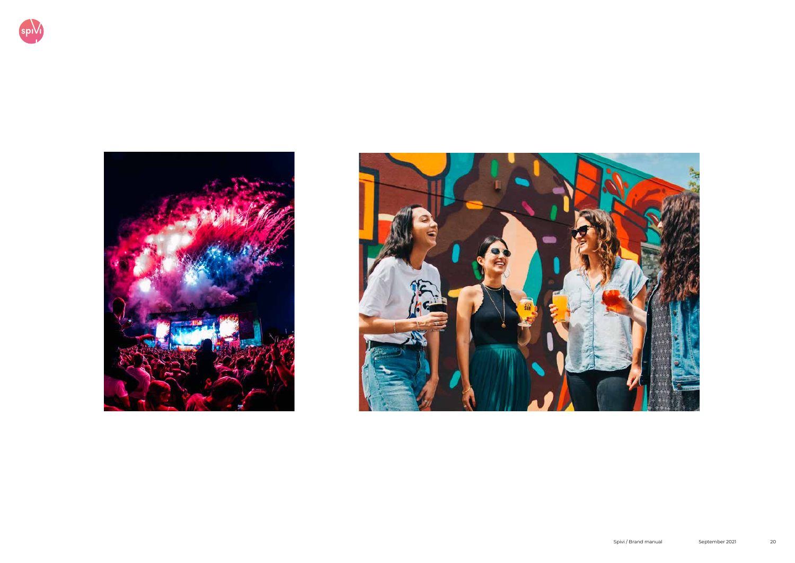



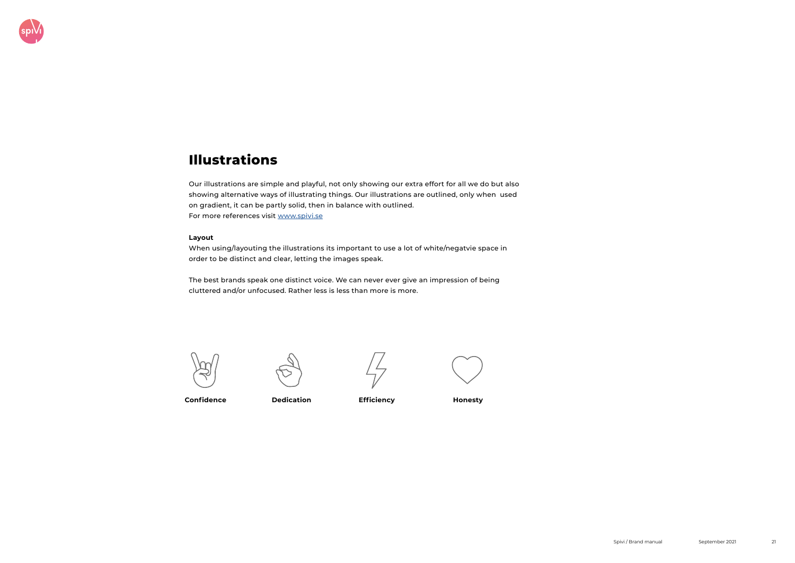

## **Illustrations**

Our illustrations are simple and playful, not only showing our extra effort for all we do but also showing alternative ways of illustrating things. Our illustrations are outlined, only when used on gradient, it can be partly solid, then in balance with outlined. For more references visit www.spivi.se

#### **Layout**

When using/layouting the illustrations its important to use a lot of white/negatvie space in order to be distinct and clear, letting the images speak.

The best brands speak one distinct voice. We can never ever give an impression of being cluttered and/or unfocused. Rather less is less than more is more.







**Confidence Dedication Efficiency Honesty**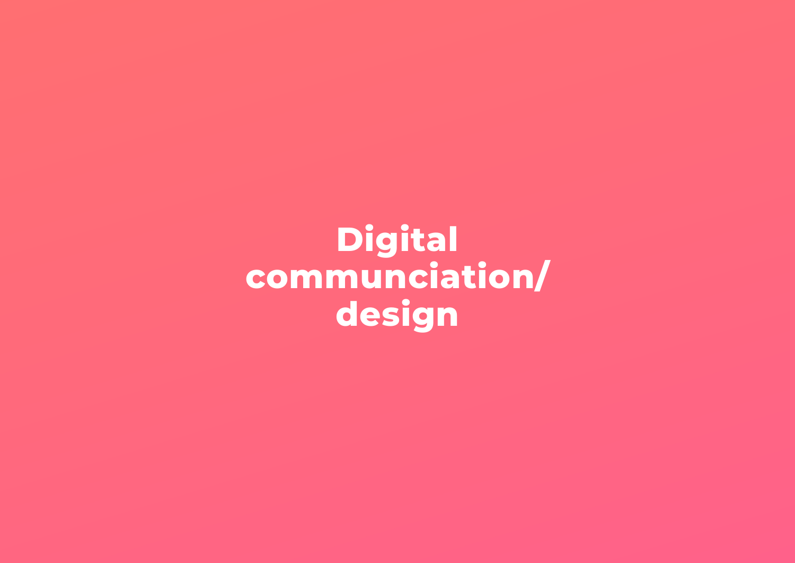**Digital communciation/ design**